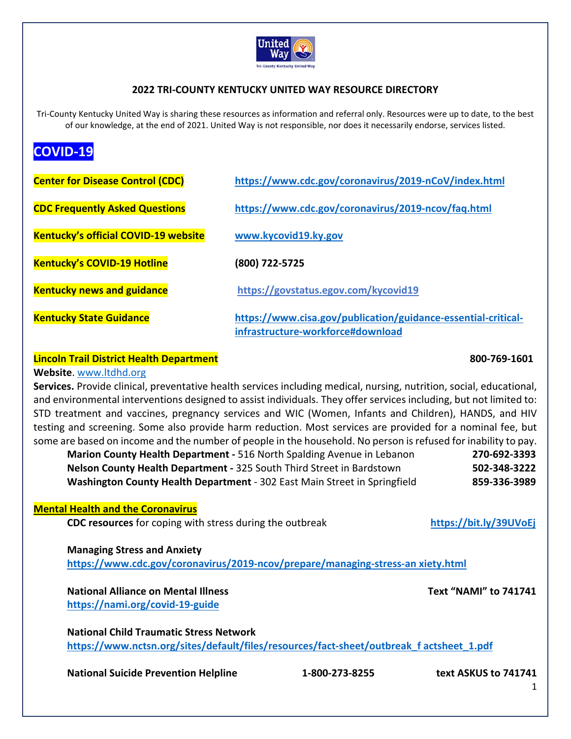

# **2022 TRI‐COUNTY KENTUCKY UNITED WAY RESOURCE DIRECTORY**

Tri-County Kentucky United Way is sharing these resources as information and referral only. Resources were up to date, to the best of our knowledge, at the end of 2021. United Way is not responsible, nor does it necessarily endorse, services listed.

# **COVID‐19**

| <b>Center for Disease Control (CDC)</b>     | https://www.cdc.gov/coronavirus/2019-nCoV/index.html                                               |
|---------------------------------------------|----------------------------------------------------------------------------------------------------|
| <b>CDC Frequently Asked Questions</b>       | https://www.cdc.gov/coronavirus/2019-ncov/faq.html                                                 |
| <b>Kentucky's official COVID-19 website</b> | www.kycovid19.ky.gov                                                                               |
| <b>Kentucky's COVID-19 Hotline</b>          | (800) 722-5725                                                                                     |
| <b>Kentucky news and guidance</b>           | https://govstatus.egov.com/kycovid19                                                               |
| <b>Kentucky State Guidance</b>              | https://www.cisa.gov/publication/guidance-essential-critical-<br>infrastructure-workforce#download |

# **Lincoln Trail District Health Department 800‐769‐1601**

### **Website**. www.ltdhd.org

**Services.** Provide clinical, preventative health services including medical, nursing, nutrition, social, educational, and environmental interventions designed to assist individuals. They offer services including, but not limited to: STD treatment and vaccines, pregnancy services and WIC (Women, Infants and Children), HANDS, and HIV testing and screening. Some also provide harm reduction. Most services are provided for a nominal fee, but some are based on income and the number of people in the household. No person is refused for inability to pay.

| Marion County Health Department - 516 North Spalding Avenue in Lebanon    | 270-692-3393 |
|---------------------------------------------------------------------------|--------------|
| Nelson County Health Department - 325 South Third Street in Bardstown     | 502-348-3222 |
| Washington County Health Department - 302 East Main Street in Springfield | 859-336-3989 |

#### **Mental Health and the Coronavirus**

**CDC resources** for coping with stress during the outbreak  **1999 https://bit.ly/39UVoEj** 

**Managing Stress and Anxiety https://www.cdc.gov/coronavirus/2019‐ncov/prepare/managing‐stress‐an xiety.html** 

# **National Alliance on Mental Illness Text "NAMI" to 741741**

**https://nami.org/covid‐19‐guide**

**National Child Traumatic Stress Network**  https://www.nctsn.org/sites/default/files/resources/fact-sheet/outbreak\_f actsheet\_1.pdf

**National Suicide Prevention Helpline 1‐800‐273‐8255 text ASKUS to 741741**

1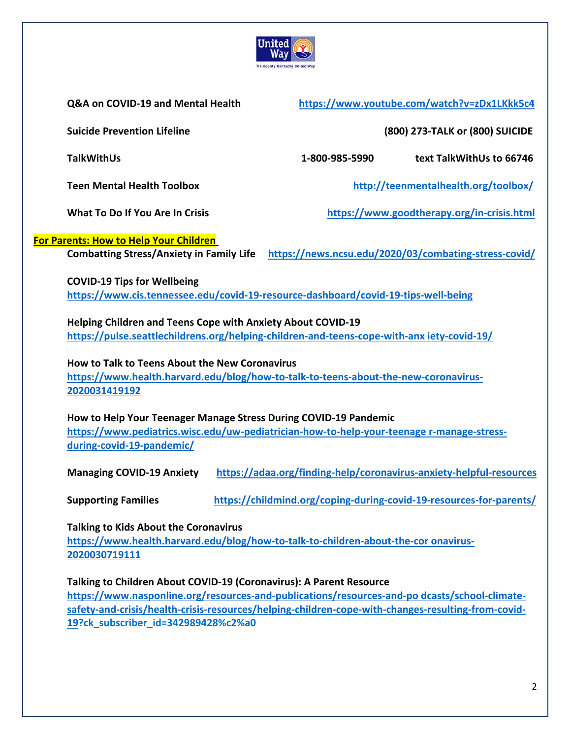

**Teen Mental Health Toolbox http://teenmentalhealth.org/toolbox/**

# **For Parents: How to Help Your Children**

**Combatting Stress/Anxiety in Family Life https://news.ncsu.edu/2020/03/combating‐stress‐covid/**

**COVID‐19 Tips for Wellbeing** 

**https://www.cis.tennessee.edu/covid‐19‐resource‐dashboard/covid‐19‐tips‐well‐being**

**Helping Children and Teens Cope with Anxiety About COVID‐19 https://pulse.seattlechildrens.org/helping‐children‐and‐teens‐cope‐with‐anx iety‐covid‐19/**

**How to Talk to Teens About the New Coronavirus https://www.health.harvard.edu/blog/how‐to‐talk‐to‐teens‐about‐the‐new‐coronavirus‐ 2020031419192**

**How to Help Your Teenager Manage Stress During COVID‐19 Pandemic https://www.pediatrics.wisc.edu/uw‐pediatrician‐how‐to‐help‐your‐teenage r‐manage‐stress‐ during‐covid‐19‐pandemic/**

**Managing COVID‐19 Anxiety https://adaa.org/finding‐help/coronavirus‐anxiety‐helpful‐resources**

**Supporting Families https://childmind.org/coping‐during‐covid‐19‐resources‐for‐parents/**

**Talking to Kids About the Coronavirus https://www.health.harvard.edu/blog/how‐to‐talk‐to‐children‐about‐the‐cor onavirus‐ 2020030719111**

**Talking to Children About COVID‐19 (Coronavirus): A Parent Resource** 

**https://www.nasponline.org/resources‐and‐publications/resources‐and‐po dcasts/school‐climate‐ safety‐and‐crisis/health‐crisis‐resources/helping‐children‐cope‐with‐changes‐resulting‐from‐covid‐ 19?ck\_subscriber\_id=342989428%c2%a0**

**Q&A on COVID‐19 and Mental Health https://www.youtube.com/watch?v=zDx1LKkk5c4**

**Suicide Prevention Lifeline (800) 273‐TALK or (800) SUICIDE**

**TalkWithUs 1‐800‐985‐5990 text TalkWithUs to 66746**

**What To Do If You Are In Crisis https://www.goodtherapy.org/in‐crisis.html**